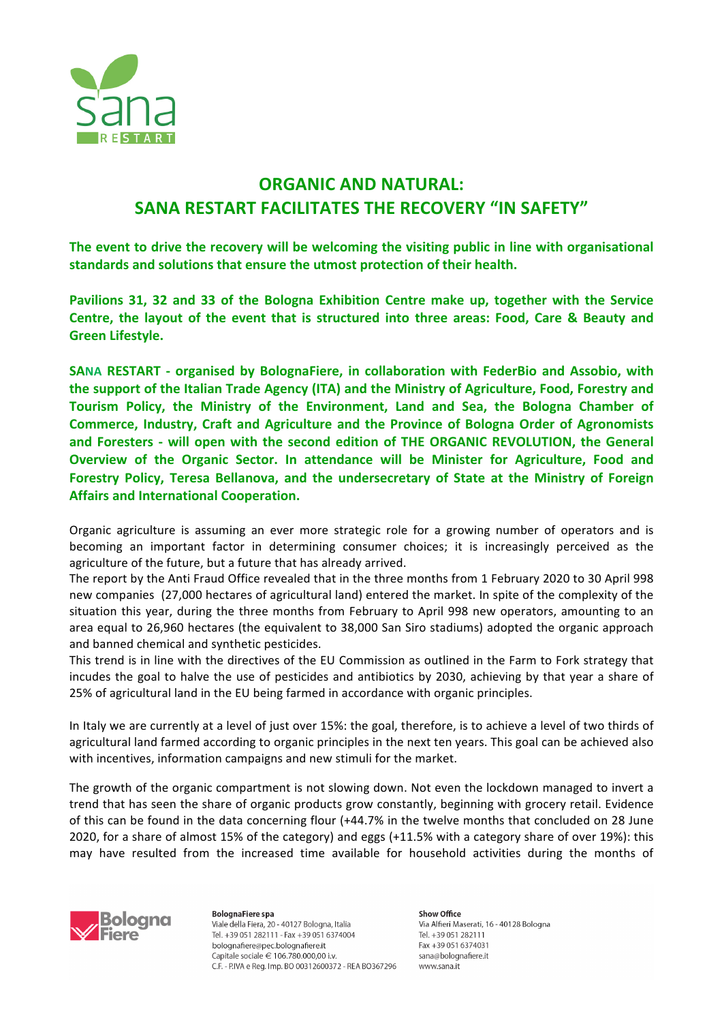

## **ORGANIC AND NATURAL: SANA RESTART FACILITATES THE RECOVERY "IN SAFETY"**

The event to drive the recovery will be welcoming the visiting public in line with organisational standards and solutions that ensure the utmost protection of their health.

Pavilions 31, 32 and 33 of the Bologna Exhibition Centre make up, together with the Service **Centre, the layout of the event that is structured into three areas: Food, Care & Beauty and Green Lifestyle.**

**SANA RESTART** - organised by BolognaFiere, in collaboration with FederBio and Assobio, with the support of the Italian Trade Agency (ITA) and the Ministry of Agriculture, Food, Forestry and Tourism Policy, the Ministry of the Environment, Land and Sea, the Bologna Chamber of **Commerce, Industry, Craft and Agriculture and the Province of Bologna Order of Agronomists** and Foresters - will open with the second edition of THE ORGANIC REVOLUTION, the General **Overview of the Organic Sector. In attendance will be Minister for Agriculture, Food and**  Forestry Policy, Teresa Bellanova, and the undersecretary of State at the Ministry of Foreign **Affairs and International Cooperation.** 

Organic agriculture is assuming an ever more strategic role for a growing number of operators and is becoming an important factor in determining consumer choices; it is increasingly perceived as the agriculture of the future, but a future that has already arrived.

The report by the Anti Fraud Office revealed that in the three months from 1 February 2020 to 30 April 998 new companies (27,000 hectares of agricultural land) entered the market. In spite of the complexity of the situation this year, during the three months from February to April 998 new operators, amounting to an area equal to 26,960 hectares (the equivalent to 38,000 San Siro stadiums) adopted the organic approach and banned chemical and synthetic pesticides.

This trend is in line with the directives of the EU Commission as outlined in the Farm to Fork strategy that incudes the goal to halve the use of pesticides and antibiotics by 2030, achieving by that year a share of 25% of agricultural land in the EU being farmed in accordance with organic principles.

In Italy we are currently at a level of just over 15%: the goal, therefore, is to achieve a level of two thirds of agricultural land farmed according to organic principles in the next ten years. This goal can be achieved also with incentives, information campaigns and new stimuli for the market.

The growth of the organic compartment is not slowing down. Not even the lockdown managed to invert a trend that has seen the share of organic products grow constantly, beginning with grocery retail. Evidence of this can be found in the data concerning flour (+44.7% in the twelve months that concluded on 28 June 2020, for a share of almost 15% of the category) and eggs (+11.5% with a category share of over 19%): this may have resulted from the increased time available for household activities during the months of



**BolognaFiere** spa Viale della Fiera, 20 - 40127 Bologna, Italia Tel. +39 051 282111 - Fax +39 051 6374004 bolognafiere@pec.bolognafiere.it Capitale sociale € 106.780.000,00 i.v. C.F. - P.IVA e Reg. Imp. BO 00312600372 - REA BO367296 Show Office Via Alfieri Maserati, 16 - 40128 Bologna Tel. +39 051 282111 Fax +39 051 6374031 sana@bolognafiere.it www.sana.it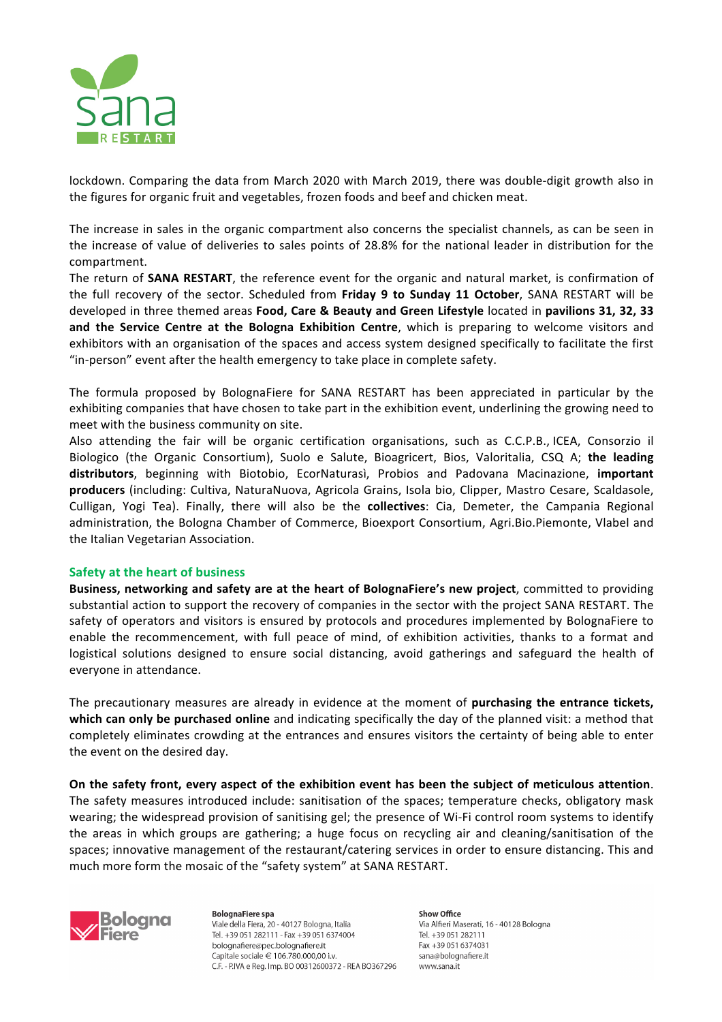

lockdown. Comparing the data from March 2020 with March 2019, there was double-digit growth also in the figures for organic fruit and vegetables, frozen foods and beef and chicken meat.

The increase in sales in the organic compartment also concerns the specialist channels, as can be seen in the increase of value of deliveries to sales points of 28.8% for the national leader in distribution for the compartment.

The return of **SANA RESTART**, the reference event for the organic and natural market, is confirmation of the full recovery of the sector. Scheduled from Friday 9 to Sunday 11 October, SANA RESTART will be developed in three themed areas Food, Care & Beauty and Green Lifestyle located in pavilions 31, 32, 33 **and the Service Centre at the Bologna Exhibition Centre, which is preparing to welcome visitors and** exhibitors with an organisation of the spaces and access system designed specifically to facilitate the first "in-person" event after the health emergency to take place in complete safety.

The formula proposed by BolognaFiere for SANA RESTART has been appreciated in particular by the exhibiting companies that have chosen to take part in the exhibition event, underlining the growing need to meet with the business community on site.

Also attending the fair will be organic certification organisations, such as C.C.P.B., ICEA, Consorzio il Biologico (the Organic Consortium), Suolo e Salute, Bioagricert, Bios, Valoritalia, CSQ A; the leading distributors, beginning with Biotobio, EcorNaturasì, Probios and Padovana Macinazione, *important* **producers** (including: Cultiva, NaturaNuova, Agricola Grains, Isola bio, Clipper, Mastro Cesare, Scaldasole, Culligan, Yogi Tea). Finally, there will also be the **collectives**: Cia, Demeter, the Campania Regional administration, the Bologna Chamber of Commerce, Bioexport Consortium, Agri.Bio.Piemonte, Vlabel and the Italian Vegetarian Association.

## **Safety at the heart of business**

**Business, networking and safety are at the heart of BolognaFiere's new project, committed to providing** substantial action to support the recovery of companies in the sector with the project SANA RESTART. The safety of operators and visitors is ensured by protocols and procedures implemented by BolognaFiere to enable the recommencement, with full peace of mind, of exhibition activities, thanks to a format and logistical solutions designed to ensure social distancing, avoid gatherings and safeguard the health of everyone in attendance.

The precautionary measures are already in evidence at the moment of **purchasing the entrance tickets, which can only be purchased online** and indicating specifically the day of the planned visit: a method that completely eliminates crowding at the entrances and ensures visitors the certainty of being able to enter the event on the desired day.

On the safety front, every aspect of the exhibition event has been the subject of meticulous attention. The safety measures introduced include: sanitisation of the spaces; temperature checks, obligatory mask wearing; the widespread provision of sanitising gel; the presence of Wi-Fi control room systems to identify the areas in which groups are gathering; a huge focus on recycling air and cleaning/sanitisation of the spaces; innovative management of the restaurant/catering services in order to ensure distancing. This and much more form the mosaic of the "safety system" at SANA RESTART.



**BolognaFiere** spa Viale della Fiera, 20 - 40127 Bologna, Italia Tel. +39 051 282111 - Fax +39 051 6374004 bolognafiere@pec.bolognafiere.it Capitale sociale € 106.780.000,00 i.v. C.F. - P.IVA e Reg. Imp. BO 00312600372 - REA BO367296 Show Office Via Alfieri Maserati, 16 - 40128 Bologna Tel +39 051 282111 Fax +39 051 6374031 sana@bolognafiere.it www.sana.it